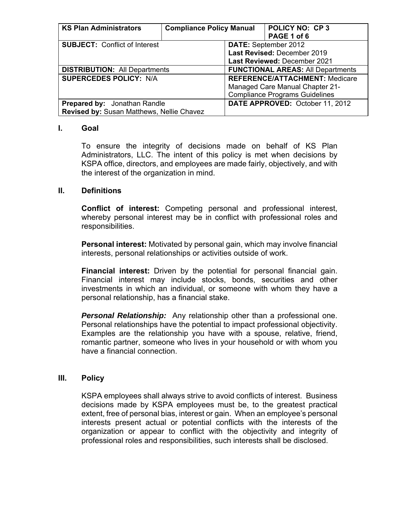| <b>KS Plan Administrators</b>                    | <b>Compliance Policy Manual</b>          |  | <b>POLICY NO: CP3</b>                 |
|--------------------------------------------------|------------------------------------------|--|---------------------------------------|
|                                                  |                                          |  | PAGE 1 of 6                           |
| <b>SUBJECT: Conflict of Interest</b>             |                                          |  | <b>DATE: September 2012</b>           |
|                                                  |                                          |  | Last Revised: December 2019           |
|                                                  |                                          |  | Last Reviewed: December 2021          |
| <b>DISTRIBUTION: All Departments</b>             | <b>FUNCTIONAL AREAS: All Departments</b> |  |                                       |
| <b>SUPERCEDES POLICY: N/A</b>                    |                                          |  | <b>REFERENCE/ATTACHMENT: Medicare</b> |
|                                                  | <b>Managed Care Manual Chapter 21-</b>   |  |                                       |
|                                                  |                                          |  | <b>Compliance Programs Guidelines</b> |
| <b>Prepared by:</b> Jonathan Randle              |                                          |  | DATE APPROVED: October 11, 2012       |
| <b>Revised by: Susan Matthews, Nellie Chavez</b> |                                          |  |                                       |

## **I. Goal**

To ensure the integrity of decisions made on behalf of KS Plan Administrators, LLC. The intent of this policy is met when decisions by KSPA office, directors, and employees are made fairly, objectively, and with the interest of the organization in mind.

## **II. Definitions**

**Conflict of interest:** Competing personal and professional interest, whereby personal interest may be in conflict with professional roles and responsibilities.

**Personal interest:** Motivated by personal gain, which may involve financial interests, personal relationships or activities outside of work.

**Financial interest:** Driven by the potential for personal financial gain. Financial interest may include stocks, bonds, securities and other investments in which an individual, or someone with whom they have a personal relationship, has a financial stake.

*Personal Relationship:* Any relationship other than a professional one. Personal relationships have the potential to impact professional objectivity. Examples are the relationship you have with a spouse, relative, friend, romantic partner, someone who lives in your household or with whom you have a financial connection.

## **III. Policy**

KSPA employees shall always strive to avoid conflicts of interest. Business decisions made by KSPA employees must be, to the greatest practical extent, free of personal bias, interest or gain. When an employee's personal interests present actual or potential conflicts with the interests of the organization or appear to conflict with the objectivity and integrity of professional roles and responsibilities, such interests shall be disclosed.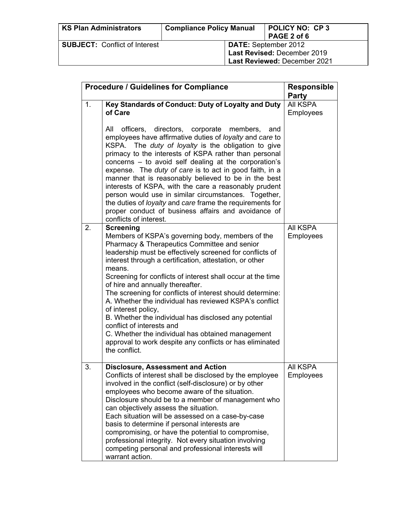| <b>KS Plan Administrators</b>        | <b>Compliance Policy Manual</b> |                                                                                            | <b>POLICY NO: CP3</b><br>PAGE 2 of 6 |
|--------------------------------------|---------------------------------|--------------------------------------------------------------------------------------------|--------------------------------------|
| <b>SUBJECT: Conflict of Interest</b> |                                 | <b>DATE:</b> September 2012<br>Last Revised: December 2019<br>Last Reviewed: December 2021 |                                      |

|                | <b>Procedure / Guidelines for Compliance</b>                                                                                                                                                                                                                                                                                                                                                                                                                                                                                                                                                                                                                                                                                   | <b>Responsible</b><br>Party  |
|----------------|--------------------------------------------------------------------------------------------------------------------------------------------------------------------------------------------------------------------------------------------------------------------------------------------------------------------------------------------------------------------------------------------------------------------------------------------------------------------------------------------------------------------------------------------------------------------------------------------------------------------------------------------------------------------------------------------------------------------------------|------------------------------|
| 1 <sub>1</sub> | Key Standards of Conduct: Duty of Loyalty and Duty<br>of Care                                                                                                                                                                                                                                                                                                                                                                                                                                                                                                                                                                                                                                                                  | All KSPA<br><b>Employees</b> |
|                | All<br>officers, directors, corporate members, and<br>employees have affirmative duties of loyalty and care to<br>KSPA. The duty of loyalty is the obligation to give<br>primacy to the interests of KSPA rather than personal<br>concerns $-$ to avoid self dealing at the corporation's<br>expense. The duty of care is to act in good faith, in a<br>manner that is reasonably believed to be in the best<br>interests of KSPA, with the care a reasonably prudent<br>person would use in similar circumstances. Together,<br>the duties of loyalty and care frame the requirements for<br>proper conduct of business affairs and avoidance of<br>conflicts of interest.                                                    |                              |
| 2.             | <b>Screening</b><br>Members of KSPA's governing body, members of the<br>Pharmacy & Therapeutics Committee and senior<br>leadership must be effectively screened for conflicts of<br>interest through a certification, attestation, or other<br>means.<br>Screening for conflicts of interest shall occur at the time<br>of hire and annually thereafter.<br>The screening for conflicts of interest should determine:<br>A. Whether the individual has reviewed KSPA's conflict<br>of interest policy,<br>B. Whether the individual has disclosed any potential<br>conflict of interests and<br>C. Whether the individual has obtained management<br>approval to work despite any conflicts or has eliminated<br>the conflict. | All KSPA<br><b>Employees</b> |
| 3.             | <b>Disclosure, Assessment and Action</b><br>Conflicts of interest shall be disclosed by the employee<br>involved in the conflict (self-disclosure) or by other<br>employees who become aware of the situation.<br>Disclosure should be to a member of management who<br>can objectively assess the situation.<br>Each situation will be assessed on a case-by-case<br>basis to determine if personal interests are<br>compromising, or have the potential to compromise,<br>professional integrity. Not every situation involving<br>competing personal and professional interests will<br>warrant action.                                                                                                                     | <b>AII KSPA</b><br>Employees |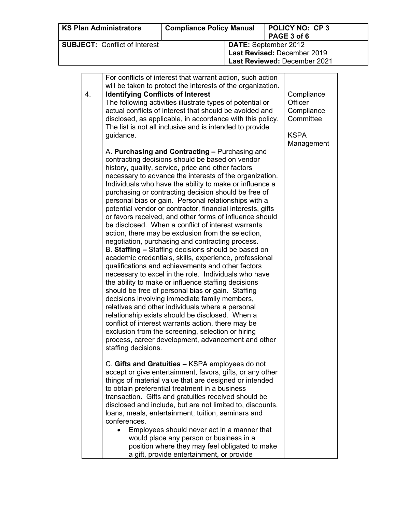| <b>KS Plan Administrators</b>        | <b>Compliance Policy Manual</b> |                                                                                            | <b>POLICY NO: CP3</b><br>PAGE 3 of 6 |
|--------------------------------------|---------------------------------|--------------------------------------------------------------------------------------------|--------------------------------------|
| <b>SUBJECT: Conflict of Interest</b> |                                 | <b>DATE:</b> September 2012<br>Last Revised: December 2019<br>Last Reviewed: December 2021 |                                      |

|    | For conflicts of interest that warrant action, such action<br>will be taken to protect the interests of the organization.                                                                                                                                                                                                                                                                                                                                                                                                                                                                                                                                                                                                                                                                                                                                                                                                                                                                                                                                                                                                                                                                                                                                                                                                                                                        |                                                                 |
|----|----------------------------------------------------------------------------------------------------------------------------------------------------------------------------------------------------------------------------------------------------------------------------------------------------------------------------------------------------------------------------------------------------------------------------------------------------------------------------------------------------------------------------------------------------------------------------------------------------------------------------------------------------------------------------------------------------------------------------------------------------------------------------------------------------------------------------------------------------------------------------------------------------------------------------------------------------------------------------------------------------------------------------------------------------------------------------------------------------------------------------------------------------------------------------------------------------------------------------------------------------------------------------------------------------------------------------------------------------------------------------------|-----------------------------------------------------------------|
| 4. | <b>Identifying Conflicts of Interest</b><br>The following activities illustrate types of potential or<br>actual conflicts of interest that should be avoided and<br>disclosed, as applicable, in accordance with this policy.<br>The list is not all inclusive and is intended to provide<br>guidance.                                                                                                                                                                                                                                                                                                                                                                                                                                                                                                                                                                                                                                                                                                                                                                                                                                                                                                                                                                                                                                                                           | Compliance<br>Officer<br>Compliance<br>Committee<br><b>KSPA</b> |
|    | A. Purchasing and Contracting – Purchasing and<br>contracting decisions should be based on vendor<br>history, quality, service, price and other factors<br>necessary to advance the interests of the organization.<br>Individuals who have the ability to make or influence a<br>purchasing or contracting decision should be free of<br>personal bias or gain. Personal relationships with a<br>potential vendor or contractor, financial interests, gifts<br>or favors received, and other forms of influence should<br>be disclosed. When a conflict of interest warrants<br>action, there may be exclusion from the selection,<br>negotiation, purchasing and contracting process.<br>B. Staffing - Staffing decisions should be based on<br>academic credentials, skills, experience, professional<br>qualifications and achievements and other factors<br>necessary to excel in the role. Individuals who have<br>the ability to make or influence staffing decisions<br>should be free of personal bias or gain. Staffing<br>decisions involving immediate family members,<br>relatives and other individuals where a personal<br>relationship exists should be disclosed. When a<br>conflict of interest warrants action, there may be<br>exclusion from the screening, selection or hiring<br>process, career development, advancement and other<br>staffing decisions. | Management                                                      |
|    | C. Gifts and Gratuities - KSPA employees do not<br>accept or give entertainment, favors, gifts, or any other<br>things of material value that are designed or intended<br>to obtain preferential treatment in a business<br>transaction. Gifts and gratuities received should be<br>disclosed and include, but are not limited to, discounts,<br>loans, meals, entertainment, tuition, seminars and<br>conferences.<br>Employees should never act in a manner that<br>would place any person or business in a<br>position where they may feel obligated to make<br>a gift, provide entertainment, or provide                                                                                                                                                                                                                                                                                                                                                                                                                                                                                                                                                                                                                                                                                                                                                                     |                                                                 |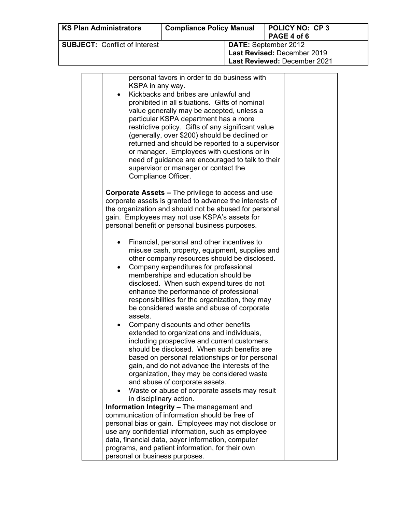| <b>KS Plan Administrators</b>        | <b>Compliance Policy Manual</b> | <b>POLICY NO: CP3</b><br>PAGE 4 of 6                                                       |
|--------------------------------------|---------------------------------|--------------------------------------------------------------------------------------------|
| <b>SUBJECT: Conflict of Interest</b> |                                 | <b>DATE: September 2012</b><br>Last Revised: December 2019<br>Last Reviewed: December 2021 |

|           | personal favors in order to do business with                                                                                                                                                                                                                                       |
|-----------|------------------------------------------------------------------------------------------------------------------------------------------------------------------------------------------------------------------------------------------------------------------------------------|
|           | KSPA in any way.<br>Kickbacks and bribes are unlawful and<br>prohibited in all situations. Gifts of nominal<br>value generally may be accepted, unless a<br>particular KSPA department has a more<br>restrictive policy. Gifts of any significant value                            |
|           | (generally, over \$200) should be declined or<br>returned and should be reported to a supervisor<br>or manager. Employees with questions or in<br>need of guidance are encouraged to talk to their<br>supervisor or manager or contact the<br>Compliance Officer.                  |
|           | <b>Corporate Assets – The privilege to access and use</b><br>corporate assets is granted to advance the interests of<br>the organization and should not be abused for personal<br>gain. Employees may not use KSPA's assets for<br>personal benefit or personal business purposes. |
|           | Financial, personal and other incentives to<br>misuse cash, property, equipment, supplies and                                                                                                                                                                                      |
|           | other company resources should be disclosed.                                                                                                                                                                                                                                       |
| $\bullet$ | Company expenditures for professional                                                                                                                                                                                                                                              |
|           | memberships and education should be<br>disclosed. When such expenditures do not                                                                                                                                                                                                    |
|           | enhance the performance of professional                                                                                                                                                                                                                                            |
|           | responsibilities for the organization, they may<br>be considered waste and abuse of corporate<br>assets.                                                                                                                                                                           |
| ٠         | Company discounts and other benefits                                                                                                                                                                                                                                               |
|           | extended to organizations and individuals,                                                                                                                                                                                                                                         |
|           | including prospective and current customers,<br>should be disclosed. When such benefits are                                                                                                                                                                                        |
|           | based on personal relationships or for personal                                                                                                                                                                                                                                    |
|           | gain, and do not advance the interests of the                                                                                                                                                                                                                                      |
|           | organization, they may be considered waste                                                                                                                                                                                                                                         |
|           | and abuse of corporate assets.                                                                                                                                                                                                                                                     |
|           | Waste or abuse of corporate assets may result                                                                                                                                                                                                                                      |
|           | in disciplinary action.<br><b>Information Integrity - The management and</b>                                                                                                                                                                                                       |
|           | communication of information should be free of                                                                                                                                                                                                                                     |
|           | personal bias or gain. Employees may not disclose or                                                                                                                                                                                                                               |
|           | use any confidential information, such as employee                                                                                                                                                                                                                                 |
|           | data, financial data, payer information, computer                                                                                                                                                                                                                                  |
|           | programs, and patient information, for their own<br>personal or business purposes.                                                                                                                                                                                                 |
|           |                                                                                                                                                                                                                                                                                    |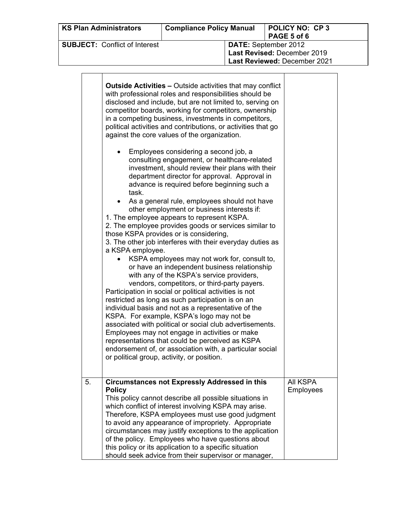| <b>KS Plan Administrators</b>        | <b>Compliance Policy Manual</b> | <b>POLICY NO: CP3</b><br>PAGE 5 of 6                                                       |
|--------------------------------------|---------------------------------|--------------------------------------------------------------------------------------------|
| <b>SUBJECT: Conflict of Interest</b> |                                 | <b>DATE:</b> September 2012<br>Last Revised: December 2019<br>Last Reviewed: December 2021 |

|    | <b>Outside Activities – Outside activities that may conflict</b><br>with professional roles and responsibilities should be<br>disclosed and include, but are not limited to, serving on<br>competitor boards, working for competitors, ownership<br>in a competing business, investments in competitors,<br>political activities and contributions, or activities that go<br>against the core values of the organization.                                                    |                              |
|----|------------------------------------------------------------------------------------------------------------------------------------------------------------------------------------------------------------------------------------------------------------------------------------------------------------------------------------------------------------------------------------------------------------------------------------------------------------------------------|------------------------------|
|    | Employees considering a second job, a<br>consulting engagement, or healthcare-related<br>investment, should review their plans with their<br>department director for approval. Approval in<br>advance is required before beginning such a<br>task.<br>• As a general rule, employees should not have<br>other employment or business interests if:<br>1. The employee appears to represent KSPA.                                                                             |                              |
|    | 2. The employee provides goods or services similar to<br>those KSPA provides or is considering,<br>3. The other job interferes with their everyday duties as<br>a KSPA employee.                                                                                                                                                                                                                                                                                             |                              |
|    | KSPA employees may not work for, consult to,<br>or have an independent business relationship<br>with any of the KSPA's service providers,<br>vendors, competitors, or third-party payers.                                                                                                                                                                                                                                                                                    |                              |
|    | Participation in social or political activities is not<br>restricted as long as such participation is on an<br>individual basis and not as a representative of the<br>KSPA. For example, KSPA's logo may not be<br>associated with political or social club advertisements.                                                                                                                                                                                                  |                              |
|    | Employees may not engage in activities or make<br>representations that could be perceived as KSPA<br>endorsement of, or association with, a particular social<br>or political group, activity, or position.                                                                                                                                                                                                                                                                  |                              |
|    |                                                                                                                                                                                                                                                                                                                                                                                                                                                                              |                              |
| 5. | <b>Circumstances not Expressly Addressed in this</b><br><b>Policy</b><br>This policy cannot describe all possible situations in<br>which conflict of interest involving KSPA may arise.<br>Therefore, KSPA employees must use good judgment<br>to avoid any appearance of impropriety. Appropriate<br>circumstances may justify exceptions to the application<br>of the policy. Employees who have questions about<br>this policy or its application to a specific situation | All KSPA<br><b>Employees</b> |
|    | should seek advice from their supervisor or manager,                                                                                                                                                                                                                                                                                                                                                                                                                         |                              |